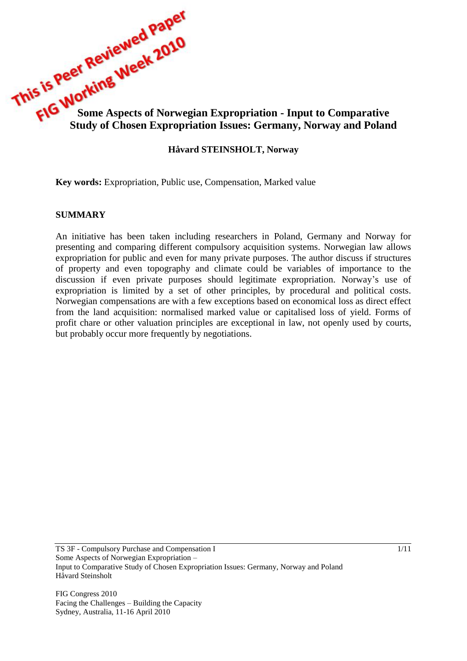

### **Håvard STEINSHOLT, Norway**

**Key words:** Expropriation, Public use, Compensation, Marked value

#### **SUMMARY**

An initiative has been taken including researchers in Poland, Germany and Norway for presenting and comparing different compulsory acquisition systems. Norwegian law allows expropriation for public and even for many private purposes. The author discuss if structures of property and even topography and climate could be variables of importance to the discussion if even private purposes should legitimate expropriation. Norway's use of expropriation is limited by a set of other principles, by procedural and political costs. Norwegian compensations are with a few exceptions based on economical loss as direct effect from the land acquisition: normalised marked value or capitalised loss of yield. Forms of profit chare or other valuation principles are exceptional in law, not openly used by courts, but probably occur more frequently by negotiations.

FIG Congress 2010 Facing the Challenges – Building the Capacity Sydney, Australia, 11-16 April 2010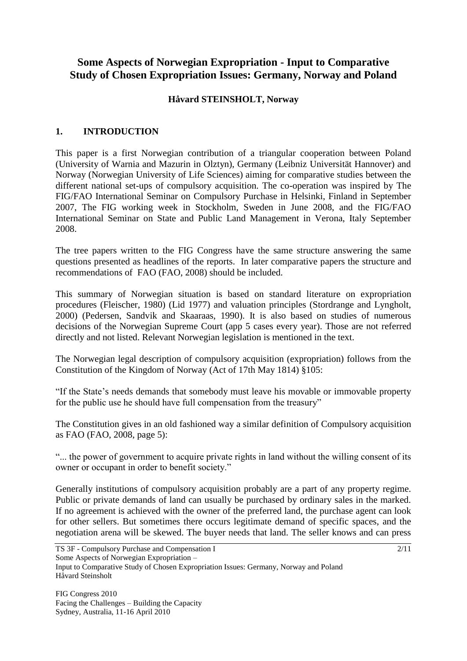# **Some Aspects of Norwegian Expropriation - Input to Comparative Study of Chosen Expropriation Issues: Germany, Norway and Poland**

### **Håvard STEINSHOLT, Norway**

### **1. INTRODUCTION**

This paper is a first Norwegian contribution of a triangular cooperation between Poland (University of Warnia and Mazurin in Olztyn), Germany (Leibniz Universität Hannover) and Norway (Norwegian University of Life Sciences) aiming for comparative studies between the different national set-ups of compulsory acquisition. The co-operation was inspired by The FIG/FAO International Seminar on Compulsory Purchase in Helsinki, Finland in September 2007, The FIG working week in Stockholm, Sweden in June 2008, and the FIG/FAO International Seminar on State and Public Land Management in Verona, Italy September 2008.

The tree papers written to the FIG Congress have the same structure answering the same questions presented as headlines of the reports. In later comparative papers the structure and recommendations of FAO (FAO, 2008) should be included.

This summary of Norwegian situation is based on standard literature on expropriation procedures (Fleischer, 1980) (Lid 1977) and valuation principles (Stordrange and Lyngholt, 2000) (Pedersen, Sandvik and Skaaraas, 1990). It is also based on studies of numerous decisions of the Norwegian Supreme Court (app 5 cases every year). Those are not referred directly and not listed. Relevant Norwegian legislation is mentioned in the text.

The Norwegian legal description of compulsory acquisition (expropriation) follows from the Constitution of the Kingdom of Norway (Act of 17th May 1814) §105:

"If the State's needs demands that somebody must leave his movable or immovable property for the public use he should have full compensation from the treasury"

The Constitution gives in an old fashioned way a similar definition of Compulsory acquisition as FAO (FAO, 2008, page 5):

"... the power of government to acquire private rights in land without the willing consent of its owner or occupant in order to benefit society."

Generally institutions of compulsory acquisition probably are a part of any property regime. Public or private demands of land can usually be purchased by ordinary sales in the marked. If no agreement is achieved with the owner of the preferred land, the purchase agent can look for other sellers. But sometimes there occurs legitimate demand of specific spaces, and the negotiation arena will be skewed. The buyer needs that land. The seller knows and can press

TS 3F - Compulsory Purchase and Compensation I Some Aspects of Norwegian Expropriation – Input to Comparative Study of Chosen Expropriation Issues: Germany, Norway and Poland Håvard Steinsholt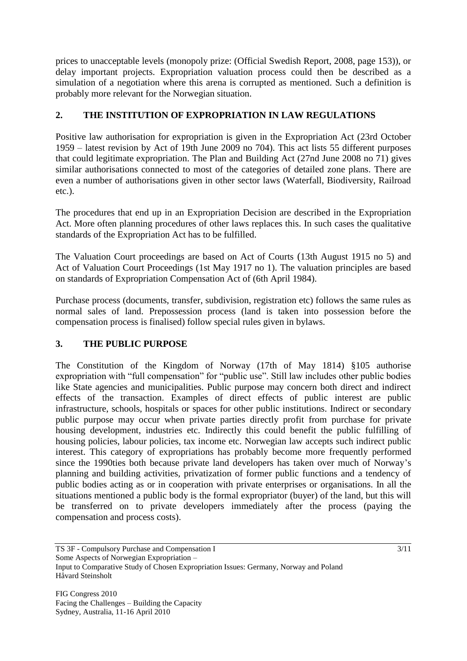prices to unacceptable levels (monopoly prize: (Official Swedish Report, 2008, page 153)), or delay important projects. Expropriation valuation process could then be described as a simulation of a negotiation where this arena is corrupted as mentioned. Such a definition is probably more relevant for the Norwegian situation.

### **2. THE INSTITUTION OF EXPROPRIATION IN LAW REGULATIONS**

Positive law authorisation for expropriation is given in the Expropriation Act (23rd October 1959 – latest revision by Act of 19th June 2009 no 704). This act lists 55 different purposes that could legitimate expropriation. The Plan and Building Act (27nd June 2008 no 71) gives similar authorisations connected to most of the categories of detailed zone plans. There are even a number of authorisations given in other sector laws (Waterfall, Biodiversity, Railroad etc.).

The procedures that end up in an Expropriation Decision are described in the Expropriation Act. More often planning procedures of other laws replaces this. In such cases the qualitative standards of the Expropriation Act has to be fulfilled.

The Valuation Court proceedings are based on Act of Courts (13th August 1915 no 5) and Act of Valuation Court Proceedings (1st May 1917 no 1). The valuation principles are based on standards of Expropriation Compensation Act of (6th April 1984).

Purchase process (documents, transfer, subdivision, registration etc) follows the same rules as normal sales of land. Prepossession process (land is taken into possession before the compensation process is finalised) follow special rules given in bylaws.

## **3. THE PUBLIC PURPOSE**

The Constitution of the Kingdom of Norway (17th of May 1814) §105 authorise expropriation with "full compensation" for "public use". Still law includes other public bodies like State agencies and municipalities. Public purpose may concern both direct and indirect effects of the transaction. Examples of direct effects of public interest are public infrastructure, schools, hospitals or spaces for other public institutions. Indirect or secondary public purpose may occur when private parties directly profit from purchase for private housing development, industries etc. Indirectly this could benefit the public fulfilling of housing policies, labour policies, tax income etc. Norwegian law accepts such indirect public interest. This category of expropriations has probably become more frequently performed since the 1990ties both because private land developers has taken over much of Norway's planning and building activities, privatization of former public functions and a tendency of public bodies acting as or in cooperation with private enterprises or organisations. In all the situations mentioned a public body is the formal expropriator (buyer) of the land, but this will be transferred on to private developers immediately after the process (paying the compensation and process costs).

TS 3F - Compulsory Purchase and Compensation I Some Aspects of Norwegian Expropriation – Input to Comparative Study of Chosen Expropriation Issues: Germany, Norway and Poland Håvard Steinsholt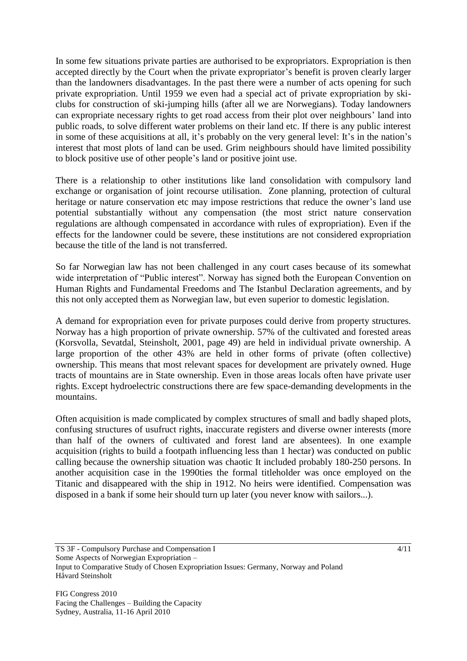In some few situations private parties are authorised to be expropriators. Expropriation is then accepted directly by the Court when the private expropriator's benefit is proven clearly larger than the landowners disadvantages. In the past there were a number of acts opening for such private expropriation. Until 1959 we even had a special act of private expropriation by skiclubs for construction of ski-jumping hills (after all we are Norwegians). Today landowners can expropriate necessary rights to get road access from their plot over neighbours' land into public roads, to solve different water problems on their land etc. If there is any public interest in some of these acquisitions at all, it's probably on the very general level: It's in the nation's interest that most plots of land can be used. Grim neighbours should have limited possibility to block positive use of other people's land or positive joint use.

There is a relationship to other institutions like land consolidation with compulsory land exchange or organisation of joint recourse utilisation. Zone planning, protection of cultural heritage or nature conservation etc may impose restrictions that reduce the owner's land use potential substantially without any compensation (the most strict nature conservation regulations are although compensated in accordance with rules of expropriation). Even if the effects for the landowner could be severe, these institutions are not considered expropriation because the title of the land is not transferred.

So far Norwegian law has not been challenged in any court cases because of its somewhat wide interpretation of "Public interest". Norway has signed both the European Convention on Human Rights and Fundamental Freedoms and The Istanbul Declaration agreements, and by this not only accepted them as Norwegian law, but even superior to domestic legislation.

A demand for expropriation even for private purposes could derive from property structures. Norway has a high proportion of private ownership. 57% of the cultivated and forested areas (Korsvolla, Sevatdal, Steinsholt, 2001, page 49) are held in individual private ownership. A large proportion of the other 43% are held in other forms of private (often collective) ownership. This means that most relevant spaces for development are privately owned. Huge tracts of mountains are in State ownership. Even in those areas locals often have private user rights. Except hydroelectric constructions there are few space-demanding developments in the mountains.

Often acquisition is made complicated by complex structures of small and badly shaped plots, confusing structures of usufruct rights, inaccurate registers and diverse owner interests (more than half of the owners of cultivated and forest land are absentees). In one example acquisition (rights to build a footpath influencing less than 1 hectar) was conducted on public calling because the ownership situation was chaotic It included probably 180-250 persons. In another acquisition case in the 1990ties the formal titleholder was once employed on the Titanic and disappeared with the ship in 1912. No heirs were identified. Compensation was disposed in a bank if some heir should turn up later (you never know with sailors...).

TS 3F - Compulsory Purchase and Compensation I Some Aspects of Norwegian Expropriation – Input to Comparative Study of Chosen Expropriation Issues: Germany, Norway and Poland Håvard Steinsholt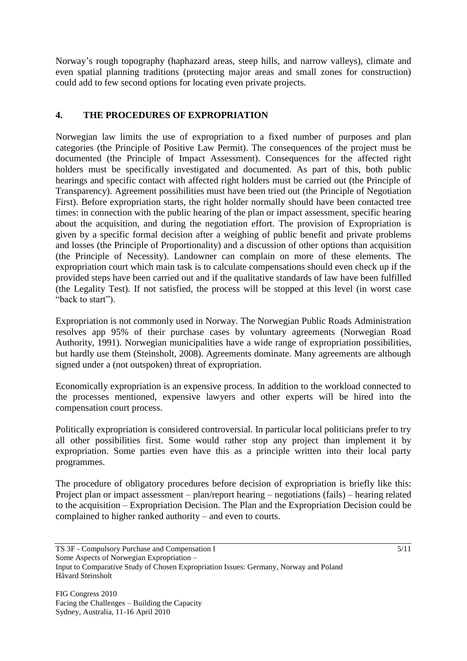Norway's rough topography (haphazard areas, steep hills, and narrow valleys), climate and even spatial planning traditions (protecting major areas and small zones for construction) could add to few second options for locating even private projects.

### **4. THE PROCEDURES OF EXPROPRIATION**

Norwegian law limits the use of expropriation to a fixed number of purposes and plan categories (the Principle of Positive Law Permit). The consequences of the project must be documented (the Principle of Impact Assessment). Consequences for the affected right holders must be specifically investigated and documented. As part of this, both public hearings and specific contact with affected right holders must be carried out (the Principle of Transparency). Agreement possibilities must have been tried out (the Principle of Negotiation First). Before expropriation starts, the right holder normally should have been contacted tree times: in connection with the public hearing of the plan or impact assessment, specific hearing about the acquisition, and during the negotiation effort. The provision of Expropriation is given by a specific formal decision after a weighing of public benefit and private problems and losses (the Principle of Proportionality) and a discussion of other options than acquisition (the Principle of Necessity). Landowner can complain on more of these elements. The expropriation court which main task is to calculate compensations should even check up if the provided steps have been carried out and if the qualitative standards of law have been fulfilled (the Legality Test). If not satisfied, the process will be stopped at this level (in worst case "back to start").

Expropriation is not commonly used in Norway. The Norwegian Public Roads Administration resolves app 95% of their purchase cases by voluntary agreements (Norwegian Road Authority, 1991). Norwegian municipalities have a wide range of expropriation possibilities, but hardly use them (Steinsholt, 2008). Agreements dominate. Many agreements are although signed under a (not outspoken) threat of expropriation.

Economically expropriation is an expensive process. In addition to the workload connected to the processes mentioned, expensive lawyers and other experts will be hired into the compensation court process.

Politically expropriation is considered controversial. In particular local politicians prefer to try all other possibilities first. Some would rather stop any project than implement it by expropriation. Some parties even have this as a principle written into their local party programmes.

The procedure of obligatory procedures before decision of expropriation is briefly like this: Project plan or impact assessment – plan/report hearing – negotiations (fails) – hearing related to the acquisition – Expropriation Decision. The Plan and the Expropriation Decision could be complained to higher ranked authority – and even to courts.

TS 3F - Compulsory Purchase and Compensation I Some Aspects of Norwegian Expropriation – Input to Comparative Study of Chosen Expropriation Issues: Germany, Norway and Poland Håvard Steinsholt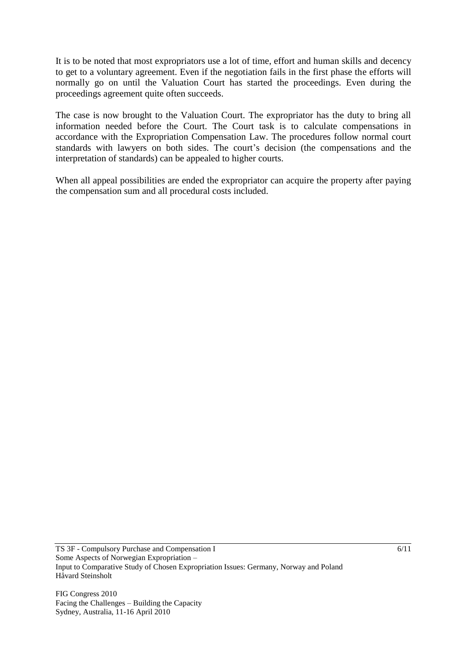It is to be noted that most expropriators use a lot of time, effort and human skills and decency to get to a voluntary agreement. Even if the negotiation fails in the first phase the efforts will normally go on until the Valuation Court has started the proceedings. Even during the proceedings agreement quite often succeeds.

The case is now brought to the Valuation Court. The expropriator has the duty to bring all information needed before the Court. The Court task is to calculate compensations in accordance with the Expropriation Compensation Law. The procedures follow normal court standards with lawyers on both sides. The court's decision (the compensations and the interpretation of standards) can be appealed to higher courts.

When all appeal possibilities are ended the expropriator can acquire the property after paying the compensation sum and all procedural costs included.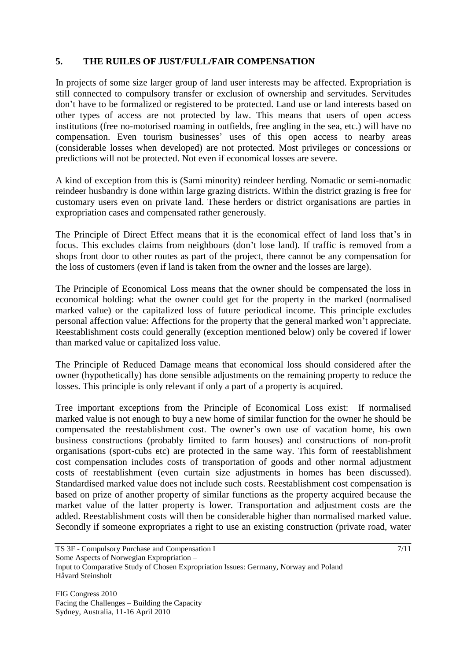### **5. THE RUILES OF JUST/FULL/FAIR COMPENSATION**

In projects of some size larger group of land user interests may be affected. Expropriation is still connected to compulsory transfer or exclusion of ownership and servitudes. Servitudes don't have to be formalized or registered to be protected. Land use or land interests based on other types of access are not protected by law. This means that users of open access institutions (free no-motorised roaming in outfields, free angling in the sea, etc.) will have no compensation. Even tourism businesses' uses of this open access to nearby areas (considerable losses when developed) are not protected. Most privileges or concessions or predictions will not be protected. Not even if economical losses are severe.

A kind of exception from this is (Sami minority) reindeer herding. Nomadic or semi-nomadic reindeer husbandry is done within large grazing districts. Within the district grazing is free for customary users even on private land. These herders or district organisations are parties in expropriation cases and compensated rather generously.

The Principle of Direct Effect means that it is the economical effect of land loss that's in focus. This excludes claims from neighbours (don't lose land). If traffic is removed from a shops front door to other routes as part of the project, there cannot be any compensation for the loss of customers (even if land is taken from the owner and the losses are large).

The Principle of Economical Loss means that the owner should be compensated the loss in economical holding: what the owner could get for the property in the marked (normalised marked value) or the capitalized loss of future periodical income. This principle excludes personal affection value: Affections for the property that the general marked won't appreciate. Reestablishment costs could generally (exception mentioned below) only be covered if lower than marked value or capitalized loss value.

The Principle of Reduced Damage means that economical loss should considered after the owner (hypothetically) has done sensible adjustments on the remaining property to reduce the losses. This principle is only relevant if only a part of a property is acquired.

Tree important exceptions from the Principle of Economical Loss exist: If normalised marked value is not enough to buy a new home of similar function for the owner he should be compensated the reestablishment cost. The owner's own use of vacation home, his own business constructions (probably limited to farm houses) and constructions of non-profit organisations (sport-cubs etc) are protected in the same way. This form of reestablishment cost compensation includes costs of transportation of goods and other normal adjustment costs of reestablishment (even curtain size adjustments in homes has been discussed). Standardised marked value does not include such costs. Reestablishment cost compensation is based on prize of another property of similar functions as the property acquired because the market value of the latter property is lower. Transportation and adjustment costs are the added. Reestablishment costs will then be considerable higher than normalised marked value. Secondly if someone expropriates a right to use an existing construction (private road, water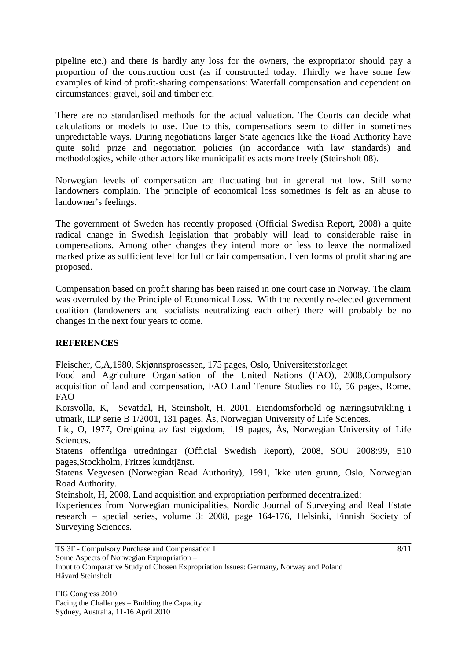pipeline etc.) and there is hardly any loss for the owners, the expropriator should pay a proportion of the construction cost (as if constructed today. Thirdly we have some few examples of kind of profit-sharing compensations: Waterfall compensation and dependent on circumstances: gravel, soil and timber etc.

There are no standardised methods for the actual valuation. The Courts can decide what calculations or models to use. Due to this, compensations seem to differ in sometimes unpredictable ways. During negotiations larger State agencies like the Road Authority have quite solid prize and negotiation policies (in accordance with law standards) and methodologies, while other actors like municipalities acts more freely (Steinsholt 08).

Norwegian levels of compensation are fluctuating but in general not low. Still some landowners complain. The principle of economical loss sometimes is felt as an abuse to landowner's feelings.

The government of Sweden has recently proposed (Official Swedish Report, 2008) a quite radical change in Swedish legislation that probably will lead to considerable raise in compensations. Among other changes they intend more or less to leave the normalized marked prize as sufficient level for full or fair compensation. Even forms of profit sharing are proposed.

Compensation based on profit sharing has been raised in one court case in Norway. The claim was overruled by the Principle of Economical Loss. With the recently re-elected government coalition (landowners and socialists neutralizing each other) there will probably be no changes in the next four years to come.

### **REFERENCES**

Fleischer, C,A,1980, Skjønnsprosessen, 175 pages, Oslo, Universitetsforlaget

Food and Agriculture Organisation of the United Nations (FAO), 2008,Compulsory acquisition of land and compensation, FAO Land Tenure Studies no 10, 56 pages, Rome, FAO

Korsvolla, K, Sevatdal, H, Steinsholt, H. 2001, Eiendomsforhold og næringsutvikling i utmark, ILP serie B 1/2001, 131 pages, Ås, Norwegian University of Life Sciences.

Lid, O, 1977, Oreigning av fast eigedom, 119 pages, Ås, Norwegian University of Life Sciences.

Statens offentliga utredningar (Official Swedish Report), 2008, SOU 2008:99, 510 pages,Stockholm, Fritzes kundtjänst.

Statens Vegvesen (Norwegian Road Authority), 1991, Ikke uten grunn, Oslo, Norwegian Road Authority.

Steinsholt, H, 2008, Land acquisition and expropriation performed decentralized:

Experiences from Norwegian municipalities, Nordic Journal of Surveying and Real Estate research – special series, volume 3: 2008, page 164-176, Helsinki, Finnish Society of Surveying Sciences.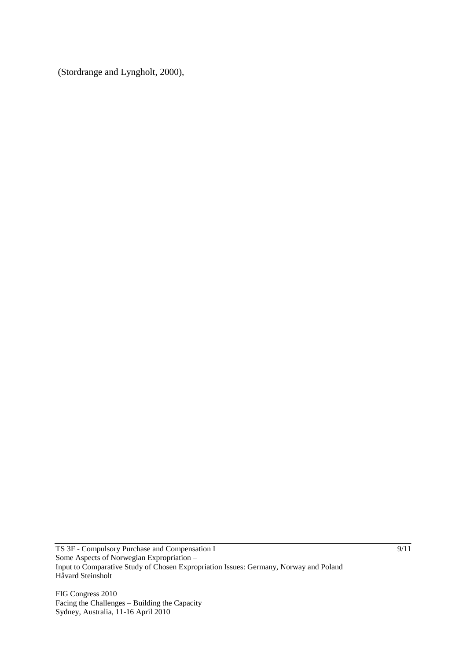(Stordrange and Lyngholt, 2000),

TS 3F - Compulsory Purchase and Compensation I Some Aspects of Norwegian Expropriation – Input to Comparative Study of Chosen Expropriation Issues: Germany, Norway and Poland Håvard Steinsholt

FIG Congress 2010 Facing the Challenges – Building the Capacity Sydney, Australia, 11-16 April 2010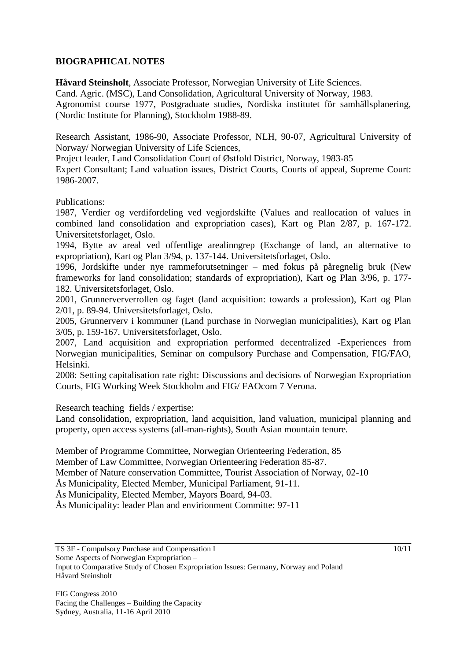### **BIOGRAPHICAL NOTES**

**Håvard Steinsholt**, Associate Professor, Norwegian University of Life Sciences.

Cand. Agric. (MSC), Land Consolidation, Agricultural University of Norway, 1983.

Agronomist course 1977, Postgraduate studies, Nordiska institutet för samhällsplanering, (Nordic Institute for Planning), Stockholm 1988-89.

Research Assistant, 1986-90, Associate Professor, NLH, 90-07, Agricultural University of Norway/ Norwegian University of Life Sciences,

Project leader, Land Consolidation Court of Østfold District, Norway, 1983-85

Expert Consultant; Land valuation issues, District Courts, Courts of appeal, Supreme Court: 1986-2007.

Publications:

1987, Verdier og verdifordeling ved vegjordskifte (Values and reallocation of values in combined land consolidation and expropriation cases), Kart og Plan 2/87, p. 167-172. Universitetsforlaget, Oslo.

1994, Bytte av areal ved offentlige arealinngrep (Exchange of land, an alternative to expropriation), Kart og Plan 3/94, p. 137-144. Universitetsforlaget, Oslo.

1996, Jordskifte under nye rammeforutsetninger – med fokus på påregnelig bruk (New frameworks for land consolidation; standards of expropriation), Kart og Plan 3/96, p. 177- 182. Universitetsforlaget, Oslo.

2001, Grunnerververrollen og faget (land acquisition: towards a profession), Kart og Plan 2/01, p. 89-94. Universitetsforlaget, Oslo.

2005, Grunnerverv i kommuner (Land purchase in Norwegian municipalities), Kart og Plan 3/05, p. 159-167. Universitetsforlaget, Oslo.

2007, Land acquisition and expropriation performed decentralized -Experiences from Norwegian municipalities, Seminar on compulsory Purchase and Compensation, FIG/FAO, Helsinki.

2008: Setting capitalisation rate right: Discussions and decisions of Norwegian Expropriation Courts, FIG Working Week Stockholm and FIG/ FAOcom 7 Verona.

Research teaching fields / expertise:

Land consolidation, expropriation, land acquisition, land valuation, municipal planning and property, open access systems (all-man-rights), South Asian mountain tenure.

Member of Programme Committee, Norwegian Orienteering Federation, 85

Member of Law Committee, Norwegian Orienteering Federation 85-87.

Member of Nature conservation Committee, Tourist Association of Norway, 02-10

Ås Municipality, Elected Member, Municipal Parliament, 91-11.

Ås Municipality, Elected Member, Mayors Board, 94-03.

Ås Municipality: leader Plan and envirionment Committe: 97-11

TS 3F - Compulsory Purchase and Compensation I Some Aspects of Norwegian Expropriation – Input to Comparative Study of Chosen Expropriation Issues: Germany, Norway and Poland Håvard Steinsholt